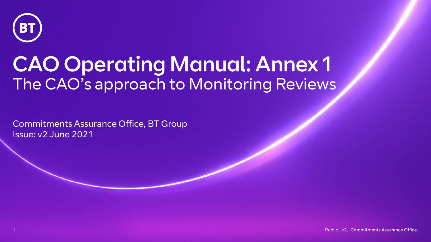

# CAO Operating Manual: Annex 1 The CAO's approach to Monitoring Reviews

Commitments Assurance Office, BT Group Issue: v2 June 2021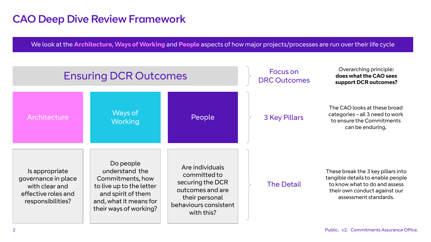# CAO Deep Dive Review Framework

We look at the **Architecture, Ways of Working** and **People** aspects of how major projects/processes are run over their life cycle

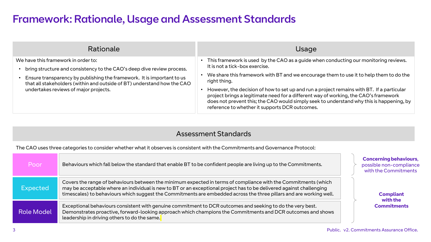# Framework: Rationale, Usage and Assessment Standards

| Rationale                                                                                                                                                                                                                                                                                                   | Usage                                                                                                                                                                                                                                                                                                                                                                                                                                                                                                                                                               |
|-------------------------------------------------------------------------------------------------------------------------------------------------------------------------------------------------------------------------------------------------------------------------------------------------------------|---------------------------------------------------------------------------------------------------------------------------------------------------------------------------------------------------------------------------------------------------------------------------------------------------------------------------------------------------------------------------------------------------------------------------------------------------------------------------------------------------------------------------------------------------------------------|
| We have this framework in order to:<br>bring structure and consistency to the CAO's deep dive review process.<br>Ensure transparency by publishing the framework. It is important to us<br>that all stakeholders (within and outside of BT) understand how the CAO<br>undertakes reviews of major projects. | This framework is used by the CAO as a guide when conducting our monitoring reviews.<br>It is not a tick-box exercise.<br>We share this framework with BT and we encourage them to use it to help them to do the<br>right thing.<br>However, the decision of how to set up and run a project remains with BT. If a particular<br>project brings a legitimate need for a different way of working, the CAO's framework<br>does not prevent this; the CAO would simply seek to understand why this is happening, by<br>reference to whether it supports DCR outcomes. |

### Assessment Standards

The CAO uses three categories to consider whether what it observes is consistent with the Commitments and Governance Protocol:

| Poor              | Behaviours which fall below the standard that enable BT to be confident people are living up to the Commitments.                                                                                                                                                                                                                                              | <b>Concerning behaviours,</b><br>possible non-compliance<br>with the Commitments |
|-------------------|---------------------------------------------------------------------------------------------------------------------------------------------------------------------------------------------------------------------------------------------------------------------------------------------------------------------------------------------------------------|----------------------------------------------------------------------------------|
| Expected          | Covers the range of behaviours between the minimum expected in terms of compliance with the Commitments (which<br>may be acceptable where an individual is new to BT or an exceptional project has to be delivered against challenging<br>timescales) to behaviours which suggest the Commitments are embedded across the three pillars and are working well. | <b>Compliant</b><br>with the<br><b>Commitments</b>                               |
| <b>Role Model</b> | Exceptional behaviours consistent with genuine commitment to DCR outcomes and seeking to do the very best.<br>Demonstrates proactive, forward-looking approach which champions the Commitments and DCR outcomes and shows<br>leadership in driving others to do the same.                                                                                     |                                                                                  |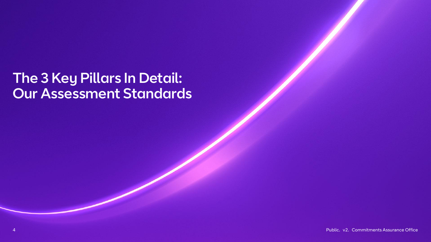# The 3 Key Pillars In Detail: Our Assessment Standards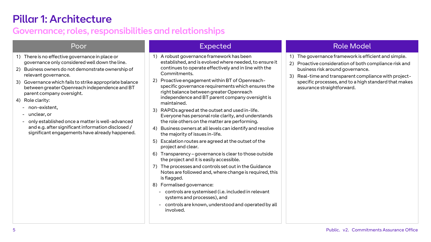# Pillar 1: Architecture

## Governance; roles, responsibilities and relationships

- 1) There is no effective governance in place or governance only considered well down the line.
- 2) Business owners do not demonstrate ownership of relevant governance.
- 3) Governance which fails to strike appropriate balance between greater Openreach independence and BT parent company oversight.
- 4) Role clarity:
	- non-existent,
	- unclear, or
	- only established once a matter is well-advanced and e.g. after significant information disclosed / significant engagements have already happened.

- 1) A robust governance framework has been established, and is evolved where needed, to ensure it continues to operate effectively and in line with the Commitments.
- 2) Proactive engagement within BT of Openreachspecific governance requirements which ensures the right balance between greater Openreach independence and BT parent company oversight is maintained.
- 3) RAPIDs agreed at the outset and used in-life. Everyone has personal role clarity, and understands the role others on the matter are performing.
- 4) Business owners at all levels can identify and resolve the majority of issues in-life.
- 5) Escalation routes are agreed at the outset of the project and clear.
- 6) Transparency governance is clear to those outside the project and it is easily accessible.
- 7) The processes and controls set out in the Guidance Notes are followed and, where change is required, this is flagged.
- 8) Formalised governance:
	- controls are systemised (i.e. included in relevant systems and processes), and
	- controls are known, understood and operated by all involved.

### Poor Expected Role Model

- 1) The governance framework is efficient and simple.
- 2) Proactive consideration of both compliance risk and business risk around governance.
- 3) Real-time and transparent compliance with projectspecific processes, and to a high standard that makes assurance straightforward.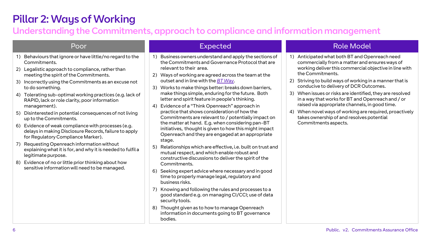# Pillar 2: Ways of Working

## Understanding the Commitments, approach to compliance and information management

- 1) Behaviours that ignore or have little/no regard to the Commitments.
- 2) Legalistic approach to compliance, rather than meeting the spirit of the Commitments.
- 3) Incorrectly using the Commitments as an excuse not to do something.
- 4) Tolerating sub-optimal working practices (e.g. lack of RAPID, lack or role clarity, poor information management).
- 5) Disinterested in potential consequences of not living up to the Commitments.
- 6) Evidence of weak compliance with processes (e.g. delays in making Disclosure Records, failure to apply for Regulatory Compliance Marker).
- 7) Requesting Openreach information without explaining what it is for, and why it is needed to fulfil a legitimate purpose.
- 8) Evidence of no or little prior thinking about how sensitive information will need to be managed.

- 1) Business owners understand and apply the sections of the Commitments and Governance Protocol that are relevant to their area.
- 2) Ways of working are agreed across the team at the outset and in line with the *[BT Way](https://www.bt.com/about/bt/our-company/our-business-practice-and-code-of-ethics/the-bt-way)*.
- 3) Works to make things better: breaks down barriers, make things simple, enduring for the future. Both letter and spirit feature in people's thinking.
- 4) Evidence of a "Think Openreach" approach in practice that shows consideration of how the Commitments are relevant to / potentially impact on the matter at hand. E.g. when considering pan-BT initiatives, thought is given to how this might impact Openreach and they are engaged at an appropriate stage.
- 5) Relationships which are effective, i.e. built on trust and mutual respect, and which enable robust and constructive discussions to deliver the spirit of the Commitments.
- 6) Seeking expert advice where necessary and in good time to properly manage legal, regulatory and business risks.
- 7) Knowing and following the rules and processes to a good standard e.g. on managing CI/CCI; use of data security tools.
- 8) Thought given as to how to manage Openreach information in documents going to BT governance bodies.

### Poor Expected Role Model

- 1) Anticipated what both BT and Openreach need commercially from a matter and ensures ways of working deliver this commercial objective in line with the Commitments.
- 2) Striving to build ways of working in a manner that is conducive to delivery of DCR Outcomes.
- 3) When issues or risks are identified, they are resolved in a way that works for BT and Openreach and / or raised via appropriate channels, in good time.
- 4) When novel ways of working are required, proactively takes ownership of and resolves potential Commitments aspects.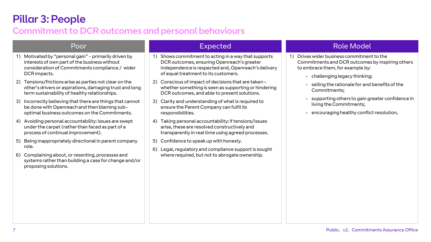# Pillar 3: People

## Commitment to DCR outcomes and personal behaviours

- 1) Motivated by "personal gain" primarily driven by interests of own part of the business without consideration of Commitments compliance / wider DCR impacts.
- 2) Tensions/frictions arise as parties not clear on the other's drivers or aspirations, damaging trust and long term sustainability of healthy relationships.
- 3) Incorrectly believing that there are things that cannot be done with Openreach and then blaming suboptimal business outcomes on the Commitments.
- 4) Avoiding personal accountability: issues are swept under the carpet (rather than faced as part of a process of continual improvement).
- 5) Being inappropriately directional in parent company role.
- 6) Complaining about, or resenting, processes and systems rather than building a case for change and/or proposing solutions.

- 1) Shows commitment to acting in a way that supports DCR outcomes, ensuring Openreach's greater independence is respected and, Openreach's delivery of equal treatment to its customers.
- 2) Conscious of impact of decisions that are taken whether something is seen as supporting or hindering DCR outcomes, and able to present solutions.
- 3) Clarity and understanding of what is required to ensure the Parent Company can fulfil its responsibilities.
- 4) Taking personal accountability: if tensions/issues arise, these are resolved constructively and transparently in real time using agreed processes.
- 5) Confidence to speak up with honesty.
- 6) Legal, regulatory and compliance support is sought where required, but not to abrogate ownership.

### Poor Expected Role Model

- 1) Drives wider business commitment to the Commitments and DCR outcomes by inspiring others to embrace them, for example by:
	- challenging legacy thinking;
	- selling the rationale for and benefits of the Commitments;
	- supporting others to gain greater confidence in living the Commitments;
	- encouraging healthy conflict resolution,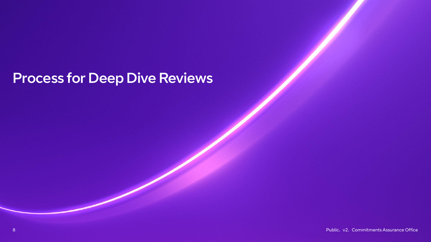# Process for Deep Dive Reviews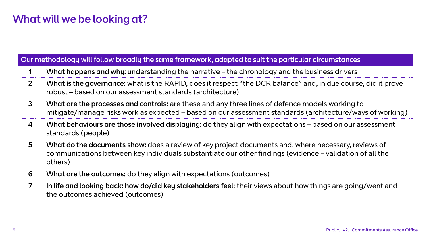# What will we be looking at?

### Our methodology will follow broadly the same framework, adapted to suit the particular circumstances

- 1 What happens and why: understanding the narrative the chronology and the business drivers
- 2 What is the governance: what is the RAPID, does it respect "the DCR balance" and, in due course, did it prove robust – based on our assessment standards (architecture)
- 3 What are the processes and controls: are these and any three lines of defence models working to mitigate/manage risks work as expected – based on our assessment standards (architecture/ways of working)
- 4 What behaviours are those involved displaying: do they align with expectations based on our assessment standards (people)
- 5 What do the documents show: does a review of key project documents and, where necessary, reviews of communications between key individuals substantiate our other findings (evidence – validation of all the others)
- 6 What are the outcomes: do they align with expectations (outcomes)
- 7 In life and looking back: how do/did key stakeholders feel: their views about how things are going/went and the outcomes achieved (outcomes)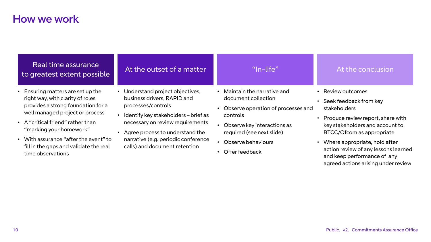## How we work

### Real time assurance to greatest extent possible At the outset of a matter  $\blacksquare$  Th-life"

- Ensuring matters are set up the right way, with clarity of roles provides a strong foundation for a well managed project or process
- A "critical friend" rather than "marking your homework"
- With assurance "after the event" to fill in the gaps and validate the real time observations

- Understand project objectives, business drivers, RAPID and processes/controls
- Identify key stakeholders brief as necessary on review requirements
- Agree process to understand the narrative (e.g. periodic conference calls) and document retention
- Maintain the narrative and document collection
- Observe operation of processes and controls
- Observe key interactions as required (see next slide)
- Observe behaviours
- Offer feedback

### At the conclusion

- Review outcomes
- Seek feedback from key stakeholders
- Produce review report, share with key stakeholders and account to BTCC/Ofcom as appropriate
- Where appropriate, hold after action review of any lessons learned and keep performance of any agreed actions arising under review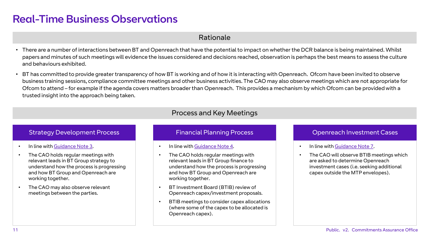# Real-Time Business Observations

### Rationale

- There are a number of interactions between BT and Openreach that have the potential to impact on whether the DCR balance is being maintained. Whilst papers and minutes of such meetings will evidence the issues considered and decisions reached, observation is perhaps the best means to assess the culture and behaviours exhibited.
- BT has committed to provide greater transparency of how BT is working and of how it is interacting with Openreach. Ofcom have been invited to observe business training sessions, compliance committee meetings and other business activities. The CAO may also observe meetings which are not appropriate for Ofcom to attend – for example if the agenda covers matters broader than Openreach. This provides a mechanism by which Ofcom can be provided with a trusted insight into the approach being taken.

### Process and Key Meetings

### Strategy Development Process **Financial Planning Process** Channing Process Channing Process Channing Process Channing Process Channing Process Channing Process Channing Process Channing Process Channing Process Channing Pr

- In line with [Guidance Note 3.](https://www.btplc.com/Thegroup/Policyandregulation/Governance/OurCommitments/Guidancenotes/StrategyDevelopmentprocess/GNStrategyDevelopmentProcess.pdf)
- The CAO holds regular meetings with relevant leads in BT Group strategy to understand how the process is progressing and how BT Group and Openreach are working together.
- The CAO may also observe relevant meetings between the parties.

- In line with [Guidance Note 4](https://www.btplc.com/Thegroup/Policyandregulation/Governance/OurCommitments/Guidancenotes/FinancialPlanningprocess/GNFinancialPlanningProcess.pdf).
- The CAO holds regular meetings with relevant leads in BT Group finance to understand how the process is progressing and how BT Group and Openreach are working together.
- BT Investment Board (BTIB) review of Openreach capex/investment proposals.
- BTIB meetings to consider capex allocations (where some of the capex to be allocated is Openreach capex).

- In line with [Guidance Note 7.](https://www.btplc.com/Thegroup/Policyandregulation/Governance/OurCommitments/Guidancenotes/PricingProductsandProjects/gn7-commercial-processes-pricing-products.pdf)
- The CAO will observe BTIB meetings which are asked to determine Openreach investment cases (i.e. seeking additional capex outside the MTP envelopes).